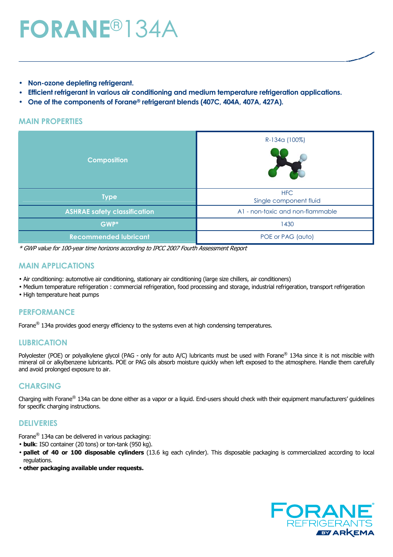# **FORANE**®134A

- **Non-ozone depleting refrigerant.**
- **Efficient refrigerant in various air conditioning and medium temperature refrigeration applications.**
- **One of the components of Forane® refrigerant blends (407C, 404A, 407A, 427A).**

#### **MAIN PROPERTIES**

| <b>Composition</b>                  | R-134a (100%)                        |  |  |  |
|-------------------------------------|--------------------------------------|--|--|--|
| <b>Type</b>                         | <b>HFC</b><br>Single component fluid |  |  |  |
| <b>ASHRAE safety classification</b> | A1 - non-toxic and non-flammable     |  |  |  |
| GWP*                                | 1430                                 |  |  |  |
| <b>Recommended lubricant</b>        | POE or PAG (auto)                    |  |  |  |

\* GWP value for 100-year time horizons according to IPCC 2007 Fourth Assessment Report

#### **MAIN APPLICATIONS**

- Air conditioning: automotive air conditioning, stationary air conditioning (large size chillers, air conditioners)
- Medium temperature refrigeration : commercial refrigeration, food processing and storage, industrial refrigeration, transport refrigeration
- High temperature heat pumps

#### **PERFORMANCE**

Forane<sup>®</sup> 134a provides good energy efficiency to the systems even at high condensing temperatures.

#### **LUBRICATION**

Polyolester (POE) or polyalkylene glycol (PAG - only for auto A/C) lubricants must be used with Forane<sup>®</sup> 134a since it is not miscible with mineral oil or alkylbenzene lubricants. POE or PAG oils absorb moisture quickly when left exposed to the atmosphere. Handle them carefully and avoid prolonged exposure to air.

#### **CHARGING**

Charging with Forane® 134a can be done either as a vapor or a liquid. End-users should check with their equipment manufacturers' guidelines for specific charging instructions.

#### **DELIVERIES**

Forane® 134a can be delivered in various packaging:

- **bulk**: ISO container (20 tons) or ton-tank (950 kg).
- **pallet of 40 or 100 disposable cylinders** (13.6 kg each cylinder). This disposable packaging is commercialized according to local regulations.
- **other packaging available under requests.**